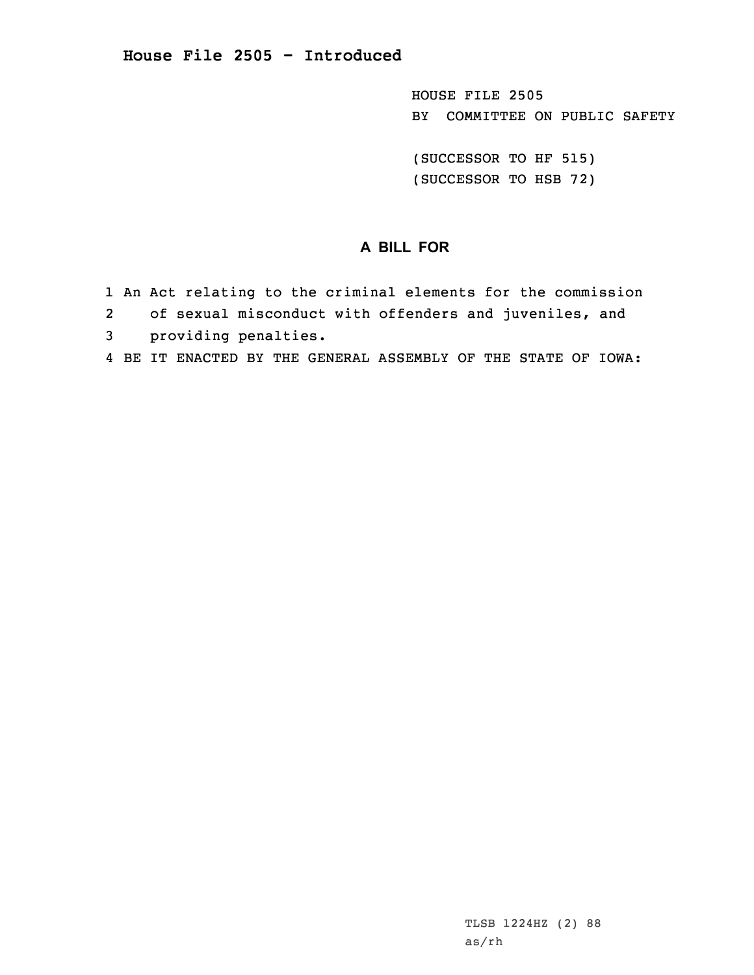HOUSE FILE 2505 BY COMMITTEE ON PUBLIC SAFETY

(SUCCESSOR TO HF 515) (SUCCESSOR TO HSB 72)

## **A BILL FOR**

- 1 An Act relating to the criminal elements for the commission
- 2of sexual misconduct with offenders and juveniles, and
- 3 providing penalties.
- 4 BE IT ENACTED BY THE GENERAL ASSEMBLY OF THE STATE OF IOWA: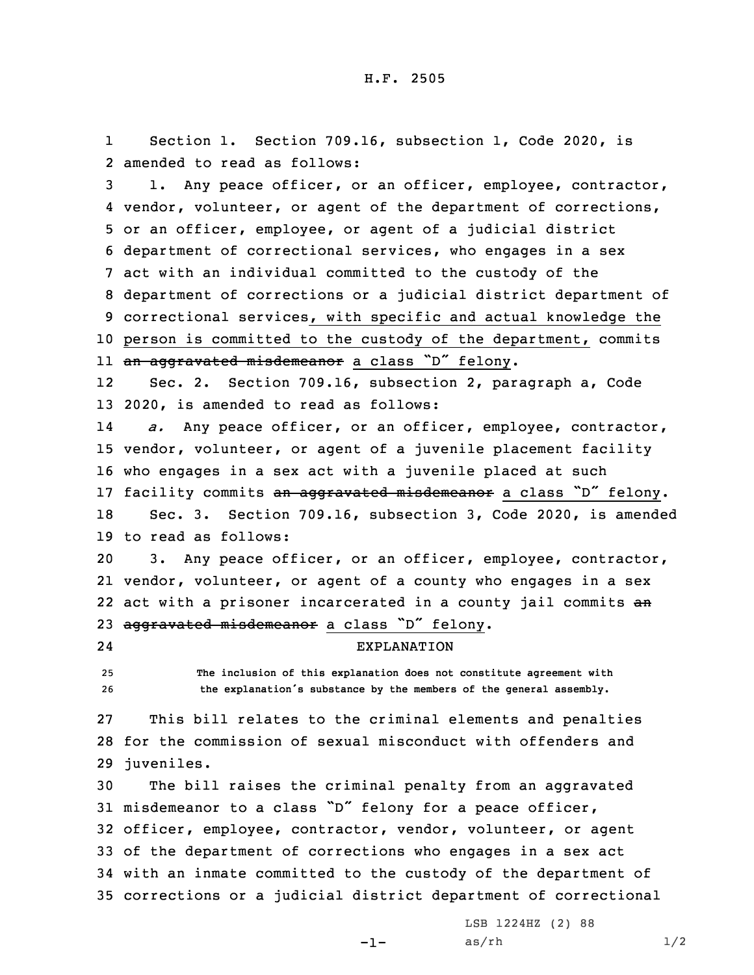1 Section 1. Section 709.16, subsection 1, Code 2020, is 2 amended to read as follows:

 1. Any peace officer, or an officer, employee, contractor, vendor, volunteer, or agent of the department of corrections, or an officer, employee, or agent of <sup>a</sup> judicial district department of correctional services, who engages in <sup>a</sup> sex act with an individual committed to the custody of the department of corrections or <sup>a</sup> judicial district department of correctional services, with specific and actual knowledge the person is committed to the custody of the department, commits ll <del>an aggravated misdemeanor</del> a class "D" felony.

12 Sec. 2. Section 709.16, subsection 2, paragraph a, Code 13 2020, is amended to read as follows:

14 *a.* Any peace officer, or an officer, employee, contractor, 15 vendor, volunteer, or agent of <sup>a</sup> juvenile placement facility 16 who engages in <sup>a</sup> sex act with <sup>a</sup> juvenile placed at such 17 facility commits an aggravated misdemeanor a class "D" felony. 18 Sec. 3. Section 709.16, subsection 3, Code 2020, is amended

19 to read as follows:

20 3. Any peace officer, or an officer, employee, contractor, 21 vendor, volunteer, or agent of <sup>a</sup> county who engages in <sup>a</sup> sex 22 act with a prisoner incarcerated in a county jail commits an 23 aggravated misdemeanor a class "D" felony.

EXPLANATION

24

25 **The inclusion of this explanation does not constitute agreement with**

<sup>26</sup> **the explanation's substance by the members of the general assembly.**

27 This bill relates to the criminal elements and penalties 28 for the commission of sexual misconduct with offenders and 29 juveniles.

 The bill raises the criminal penalty from an aggravated misdemeanor to <sup>a</sup> class "D" felony for <sup>a</sup> peace officer, officer, employee, contractor, vendor, volunteer, or agent of the department of corrections who engages in <sup>a</sup> sex act with an inmate committed to the custody of the department of corrections or <sup>a</sup> judicial district department of correctional

-1-

LSB 1224HZ (2) 88  $as/rh$   $1/2$